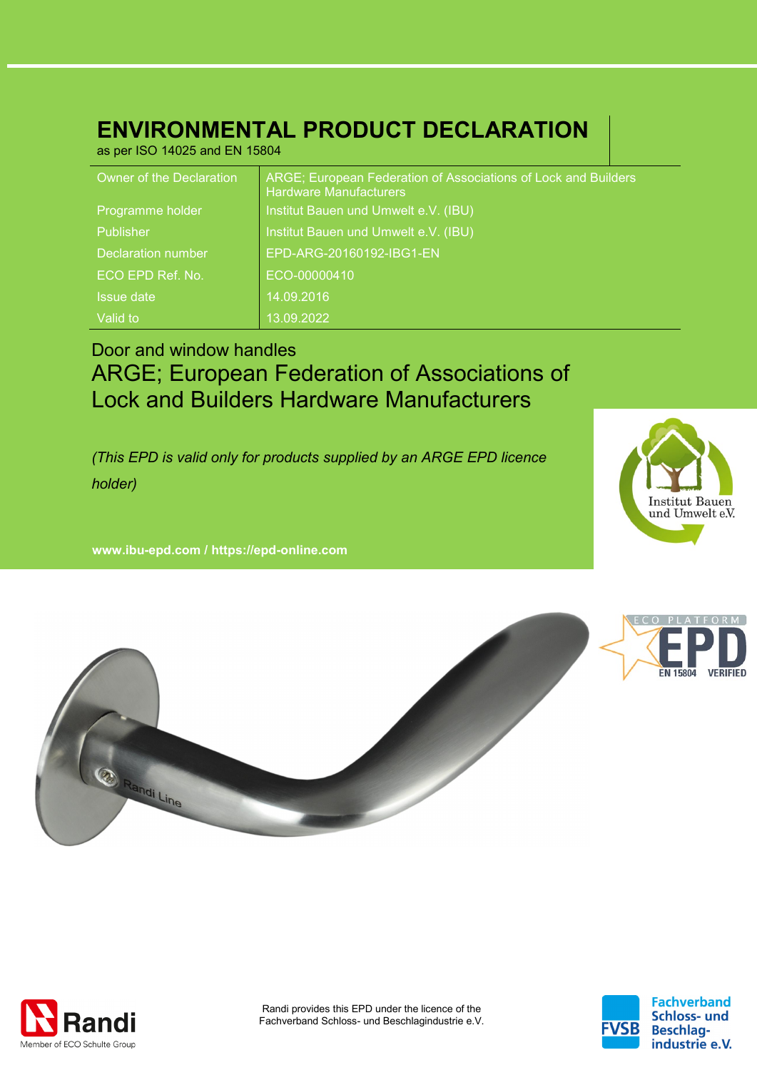# **ENVIRONMENTAL PRODUCT DECLARATION**

as per ISO 14025 and EN 15804

| Owner of the Declaration  | ARGE; European Federation of Associations of Lock and Builders<br><b>Hardware Manufacturers</b> |
|---------------------------|-------------------------------------------------------------------------------------------------|
| Programme holder          | Institut Bauen und Umwelt e.V. (IBU)                                                            |
| <b>Publisher</b>          | Institut Bauen und Umwelt e.V. (IBU)                                                            |
| <b>Declaration number</b> | EPD-ARG-20160192-IBG1-EN                                                                        |
| ECO EPD Ref. No.          | ECO-00000410                                                                                    |
| <b>Issue date</b>         | 14.09.2016                                                                                      |
| Valid to                  | 13.09.2022                                                                                      |

## Door and window handles ARGE; European Federation of Associations of Lock and Builders Hardware Manufacturers

*(This EPD is valid only for products supplied by an ARGE EPD licence holder)*

**www. ibu-epd.com / https://epd-online.com**





![](_page_0_Picture_8.jpeg)

![](_page_0_Picture_10.jpeg)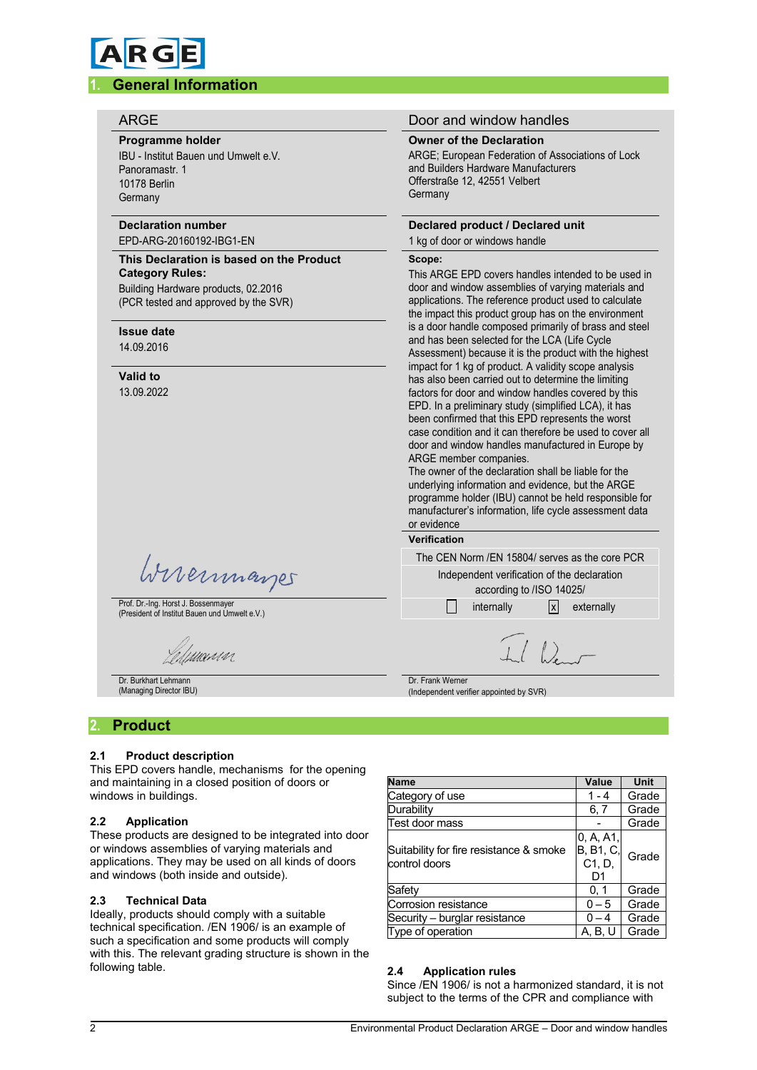# **RG**

#### **1. General Information**

#### **Programme holder**

IBU - Institut Bauen und Umwelt e.V. Panoramastr. 1 10178 Berlin Germany

#### **Declaration number** EPD-ARG-20160192-IBG1-EN

#### **This Declaration is based on the Product Category Rules:** Building Hardware products, 02.2016

(PCR tested and approved by the SVR)

#### **Issue date**

14.09.2016

#### **Valid to**

13.09.2022

Wireinmarger

Prof. Dr.-Ing. Horst J. Bossenmayer (President of Institut Bauen und Umwelt e.V.)

umun

Dr. Burkhart Lehmann (Managing Director IBU)

#### ARGE **Door and window handles**

#### **Owner of the Declaration**

ARGE; European Federation of Associations of Lock and Builders Hardware Manufacturers Offerstraße 12, 42551 Velbert **Germany** 

#### **Declared product / Declared unit**

### 1 kg of door or windows handle

#### **Scope:**

This ARGE EPD covers handles intended to be used in door and window assemblies of varying materials and applications. The reference product used to calculate the impact this product group has on the environment is a door handle composed primarily of brass and steel and has been selected for the LCA (Life Cycle Assessment) because it is the product with the highest impact for 1 kg of product. A validity scope analysis has also been carried out to determine the limiting factors for door and window handles covered by this EPD. In a preliminary study (simplified LCA), it has been confirmed that this EPD represents the worst case condition and it can therefore be used to cover all door and window handles manufactured in Europe by ARGE member companies.

The owner of the declaration shall be liable for the underlying information and evidence, but the ARGE programme holder (IBU) cannot be held responsible for manufacturer's information, life cycle assessment data or evidence

#### **Verification**

| The CEN Norm / EN 15804/ serves as the core PCR |
|-------------------------------------------------|
| Independent verification of the declaration     |
| according to /ISO 14025/                        |
| <u>x</u> externally<br>internally               |

Dr. Frank Werner (Independent verifier appointed by SVR)

#### **2. Product**

#### **2.1 Product description**

This EPD covers handle, mechanisms for the opening and maintaining in a closed position of doors or windows in buildings.

#### **2.2 Application**

These products are designed to be integrated into door or windows assemblies of varying materials and applications. They may be used on all kinds of doors and windows (both inside and outside).

#### **2.3 Technical Data**

Ideally, products should comply with a suitable technical specification. /EN 1906/ is an example of such a specification and some products will comply with this. The relevant grading structure is shown in the following table.

| <b>Name</b>                                              | Value                                  | <b>Unit</b> |
|----------------------------------------------------------|----------------------------------------|-------------|
| Category of use                                          | $1 - 4$                                | Grade       |
| Durability                                               | 6, 7                                   | Grade       |
| Test door mass                                           |                                        | Grade       |
| Suitability for fire resistance & smoke<br>control doors | 0, A, A1,<br>B, B1, C,<br>C1, D,<br>D1 | Grade       |
| Safety                                                   | 0, 1                                   | Grade       |
| Corrosion resistance                                     | $0 - 5$                                | Grade       |
| Security - burglar resistance                            | $0 - 4$                                | Grade       |
| Type of operation                                        | A. B. U                                | Grade       |

#### **2.4 Application rules**

Since /EN 1906/ is not a harmonized standard, it is not subject to the terms of the CPR and compliance with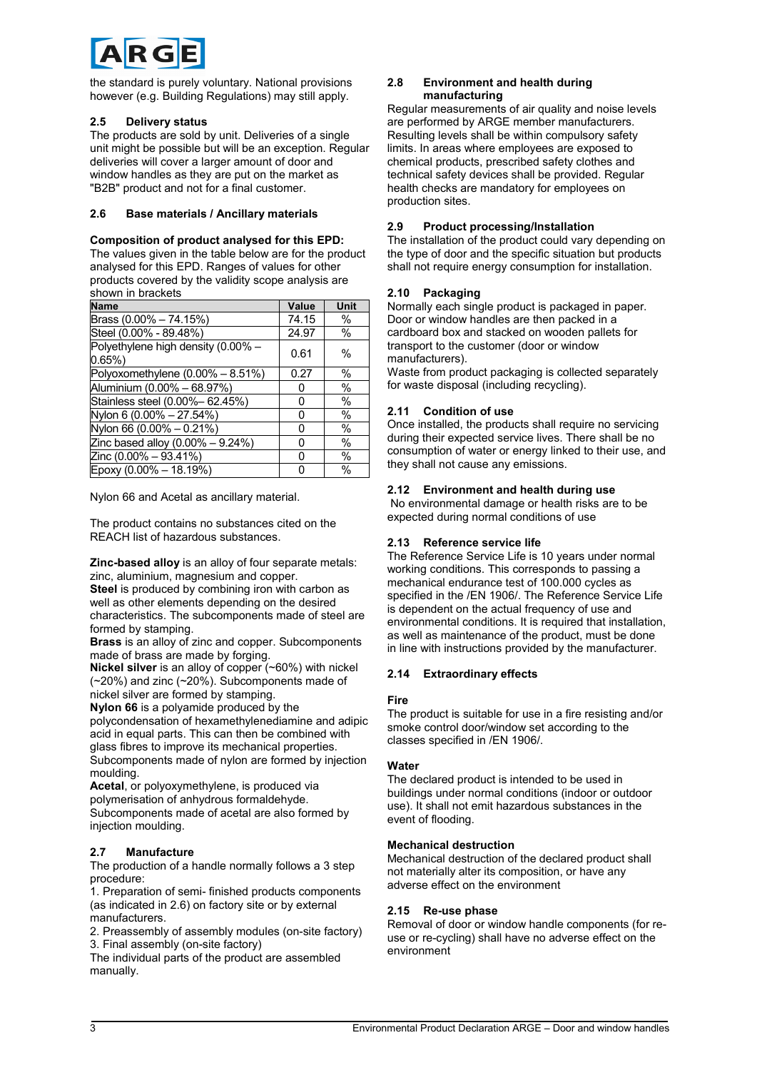![](_page_2_Picture_0.jpeg)

the standard is purely voluntary. National provisions however (e.g. Building Regulations) may still apply.

#### **2.5 Delivery status**

The products are sold by unit. Deliveries of a single unit might be possible but will be an exception. Regular deliveries will cover a larger amount of door and window handles as they are put on the market as "B2B" product and not for a final customer.

#### **2.6 Base materials / Ancillary materials**

#### **Composition of product analysed for this EPD:**

The values given in the table below are for the product analysed for this EPD. Ranges of values for other products covered by the validity scope analysis are shown in brackets

| <b>Name</b>                                    | <b>Value</b> | Unit          |
|------------------------------------------------|--------------|---------------|
| Brass $(0.00\% - 74.15\%)$                     | 74.15        | $\%$          |
| Steel (0.00% - 89.48%)                         | 24.97        | $\%$          |
| Polyethylene high density (0.00% -<br>$0.65\%$ | 0.61         | $\frac{0}{0}$ |
| Polyoxomethylene (0.00% - 8.51%)               | 0.27         | $\%$          |
| Aluminium (0.00% - 68.97%)                     |              | $\%$          |
| Stainless steel (0.00%-62.45%)                 | 0            | $\%$          |
| Nylon 6 (0.00% - 27.54%)                       | O            | $\%$          |
| Nylon 66 (0.00% - 0.21%)                       | 0            | $\%$          |
| Zinc based alloy $(0.00\% - 9.24\%)$           | O            | $\%$          |
| Zinc (0.00% - 93.41%)                          | O            | $\%$          |
| Epoxy (0.00% - 18.19%)                         | U            | $\frac{0}{0}$ |

Nylon 66 and Acetal as ancillary material.

The product contains no substances cited on the REACH list of hazardous substances.

**Zinc-based alloy** is an alloy of four separate metals: zinc, aluminium, magnesium and copper. **Steel** is produced by combining iron with carbon as well as other elements depending on the desired characteristics. The subcomponents made of steel are formed by stamping.

**Brass** is an alloy of zinc and copper. Subcomponents made of brass are made by forging.

**Nickel silver** is an alloy of copper (~60%) with nickel (~20%) and zinc (~20%). Subcomponents made of nickel silver are formed by stamping.

**Nylon 66** is a polyamide produced by the

polycondensation of hexamethylenediamine and adipic acid in equal parts. This can then be combined with glass fibres to improve its mechanical properties. Subcomponents made of nylon are formed by injection moulding.

**Acetal**, or polyoxymethylene, is produced via polymerisation of anhydrous formaldehyde. Subcomponents made of acetal are also formed by injection moulding.

#### **2.7 Manufacture**

The production of a handle normally follows a 3 step procedure:

1. Preparation of semi- finished products components (as indicated in 2.6) on factory site or by external manufacturers.

2. Preassembly of assembly modules (on-site factory) 3. Final assembly (on-site factory)

The individual parts of the product are assembled manually.

#### **2.8 Environment and health during manufacturing**

Regular measurements of air quality and noise levels are performed by ARGE member manufacturers. Resulting levels shall be within compulsory safety limits. In areas where employees are exposed to chemical products, prescribed safety clothes and technical safety devices shall be provided. Regular health checks are mandatory for employees on production sites.

#### **2.9 Product processing/Installation**

The installation of the product could vary depending on the type of door and the specific situation but products shall not require energy consumption for installation.

#### **2.10 Packaging**

Normally each single product is packaged in paper. Door or window handles are then packed in a cardboard box and stacked on wooden pallets for transport to the customer (door or window manufacturers).

Waste from product packaging is collected separately for waste disposal (including recycling).

#### **2.11 Condition of use**

Once installed, the products shall require no servicing during their expected service lives. There shall be no consumption of water or energy linked to their use, and they shall not cause any emissions.

#### **2.12 Environment and health during use**

No environmental damage or health risks are to be expected during normal conditions of use

#### **2.13 Reference service life**

The Reference Service Life is 10 years under normal working conditions. This corresponds to passing a mechanical endurance test of 100.000 cycles as specified in the /EN 1906/. The Reference Service Life is dependent on the actual frequency of use and environmental conditions. It is required that installation, as well as maintenance of the product, must be done in line with instructions provided by the manufacturer.

#### **2.14 Extraordinary effects**

#### **Fire**

The product is suitable for use in a fire resisting and/or smoke control door/window set according to the classes specified in /EN 1906/.

#### **Water**

The declared product is intended to be used in buildings under normal conditions (indoor or outdoor use). It shall not emit hazardous substances in the event of flooding.

#### **Mechanical destruction**

Mechanical destruction of the declared product shall not materially alter its composition, or have any adverse effect on the environment

#### **2.15 Re-use phase**

Removal of door or window handle components (for reuse or re-cycling) shall have no adverse effect on the environment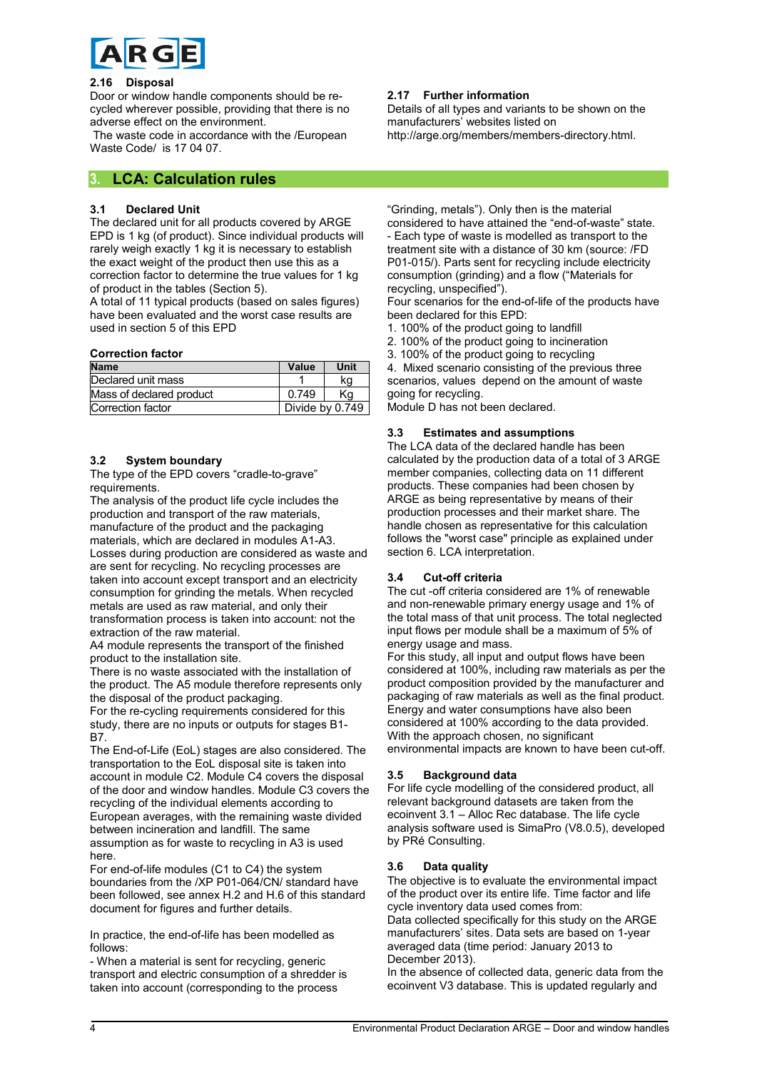![](_page_3_Picture_0.jpeg)

#### **2.16 Disposal**

Door or window handle components should be recycled wherever possible, providing that there is no adverse effect on the environment.

The waste code in accordance with the /European Waste Code/ is 17 04 07.

#### **3. LCA: Calculation rules**

#### **3.1 Declared Unit**

The declared unit for all products covered by ARGE EPD is 1 kg (of product). Since individual products will rarely weigh exactly 1 kg it is necessary to establish the exact weight of the product then use this as a correction factor to determine the true values for 1 kg of product in the tables (Section 5).

A total of 11 typical products (based on sales figures) have been evaluated and the worst case results are used in section 5 of this EPD

#### **Correction factor**

| <b>Name</b>              | Value           | Unit |
|--------------------------|-----------------|------|
| Declared unit mass       |                 | ka   |
| Mass of declared product | 0.749           | Κa   |
| Correction factor        | Divide by 0.749 |      |

#### **3.2 System boundary**

The type of the EPD covers "cradle-to-grave" requirements.

The analysis of the product life cycle includes the production and transport of the raw materials, manufacture of the product and the packaging materials, which are declared in modules A1-A3. Losses during production are considered as waste and are sent for recycling. No recycling processes are taken into account except transport and an electricity consumption for grinding the metals. When recycled metals are used as raw material, and only their transformation process is taken into account: not the extraction of the raw material.

A4 module represents the transport of the finished product to the installation site.

There is no waste associated with the installation of the product. The A5 module therefore represents only the disposal of the product packaging.

For the re-cycling requirements considered for this study, there are no inputs or outputs for stages B1- **B7** 

The End-of-Life (EoL) stages are also considered. The transportation to the EoL disposal site is taken into account in module C2. Module C4 covers the disposal of the door and window handles. Module C3 covers the recycling of the individual elements according to European averages, with the remaining waste divided between incineration and landfill. The same assumption as for waste to recycling in A3 is used here.

For end-of-life modules (C1 to C4) the system boundaries from the /XP P01-064/CN/ standard have been followed, see annex H.2 and H.6 of this standard document for figures and further details.

In practice, the end-of-life has been modelled as follows:

- When a material is sent for recycling, generic transport and electric consumption of a shredder is taken into account (corresponding to the process

#### **2.17 Further information**

Details of all types and variants to be shown on the manufacturers' websites listed on http://arge.org/members/members-directory.html.

"Grinding, metals"). Only then is the material

considered to have attained the "end-of-waste" state. - Each type of waste is modelled as transport to the treatment site with a distance of 30 km (source: /FD P01-015/). Parts sent for recycling include electricity consumption (grinding) and a flow ("Materials for recycling, unspecified").

Four scenarios for the end-of-life of the products have been declared for this EPD:

1. 100% of the product going to landfill

2. 100% of the product going to incineration

3. 100% of the product going to recycling

4. Mixed scenario consisting of the previous three scenarios, values depend on the amount of waste going for recycling.

Module D has not been declared.

#### **3.3 Estimates and assumptions**

The LCA data of the declared handle has been calculated by the production data of a total of 3 ARGE member companies, collecting data on 11 different products. These companies had been chosen by ARGE as being representative by means of their production processes and their market share. The handle chosen as representative for this calculation follows the "worst case" principle as explained under section 6. LCA interpretation.

#### **3.4 Cut-off criteria**

The cut -off criteria considered are 1% of renewable and non-renewable primary energy usage and 1% of the total mass of that unit process. The total neglected input flows per module shall be a maximum of 5% of energy usage and mass.

For this study, all input and output flows have been considered at 100%, including raw materials as per the product composition provided by the manufacturer and packaging of raw materials as well as the final product. Energy and water consumptions have also been considered at 100% according to the data provided. With the approach chosen, no significant environmental impacts are known to have been cut-off.

#### **3.5 Background data**

For life cycle modelling of the considered product, all relevant background datasets are taken from the ecoinvent 3.1 – Alloc Rec database. The life cycle analysis software used is SimaPro (V8.0.5), developed by PRé Consulting.

#### **3.6 Data quality**

The objective is to evaluate the environmental impact of the product over its entire life. Time factor and life cycle inventory data used comes from:

Data collected specifically for this study on the ARGE manufacturers' sites. Data sets are based on 1-year averaged data (time period: January 2013 to December 2013).

In the absence of collected data, generic data from the ecoinvent V3 database. This is updated regularly and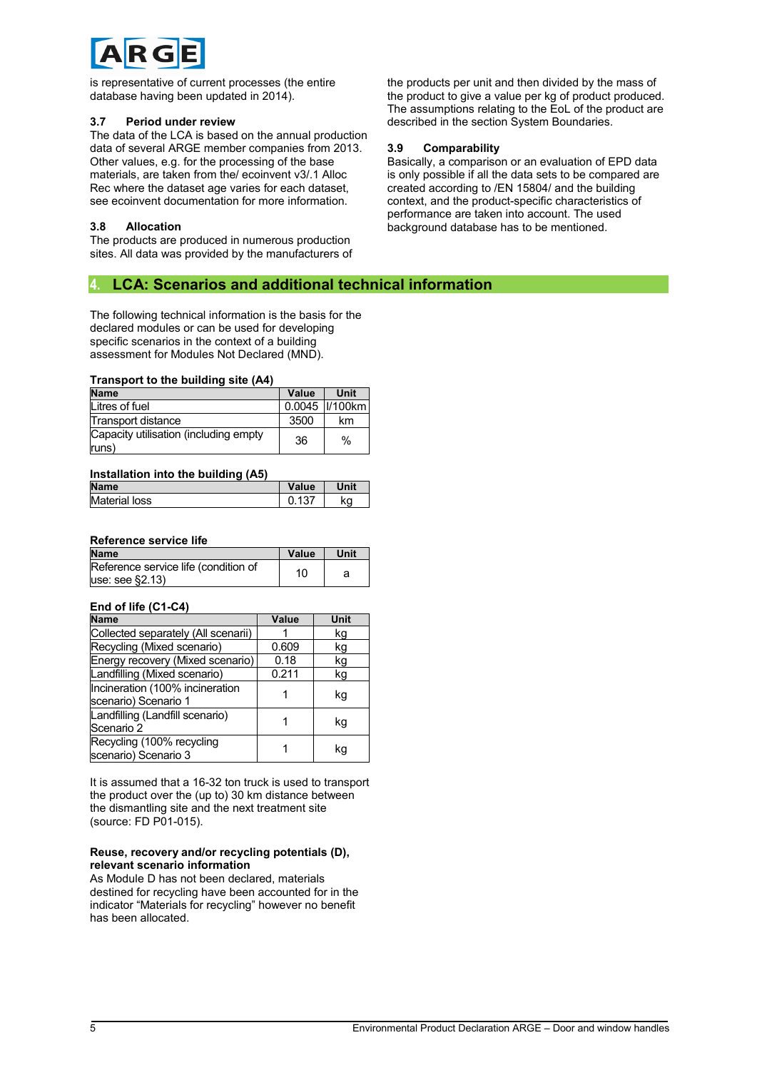![](_page_4_Picture_0.jpeg)

is representative of current processes (the entire database having been updated in 2014).

#### **3.7 Period under review**

The data of the LCA is based on the annual production data of several ARGE member companies from 2013. Other values, e.g. for the processing of the base materials, are taken from the/ ecoinvent v3/.1 Alloc Rec where the dataset age varies for each dataset, see ecoinvent documentation for more information.

#### **3.8 Allocation**

The products are produced in numerous production sites. All data was provided by the manufacturers of

#### **4. LCA: Scenarios and additional technical information**

The following technical information is the basis for the declared modules or can be used for developing specific scenarios in the context of a building assessment for Modules Not Declared (MND).

#### **Transport to the building site (A4)**

| <b>Name</b>                                    | Value | <b>Unit</b>      |
|------------------------------------------------|-------|------------------|
| Litres of fuel                                 |       | 0.0045   1/100km |
| Transport distance                             | 3500  | km               |
| Capacity utilisation (including empty<br>runs) | 36    | $\%$             |

#### **Installation into the building (A5)**

| <b>Name</b>          | Value | Unit |
|----------------------|-------|------|
| <b>Material loss</b> |       | ka   |

#### **Reference service life**

| <b>Name</b>                                            | Value | Unit |
|--------------------------------------------------------|-------|------|
| Reference service life (condition of<br>use: see §2.13 | 10    |      |

#### **End of life (C1-C4)**

| <b>Name</b>                         | Value | Unit |
|-------------------------------------|-------|------|
| Collected separately (All scenarii) |       | kg   |
| Recycling (Mixed scenario)          | 0.609 | kg   |
| Energy recovery (Mixed scenario)    | 0.18  | kg   |
| Landfilling (Mixed scenario)        | 0.211 | kg   |
| Incineration (100% incineration     |       | kg   |
| scenario) Scenario 1                |       |      |
| Landfilling (Landfill scenario)     |       | kg   |
| Scenario 2                          |       |      |
| Recycling (100% recycling           |       | kq   |
| scenario) Scenario 3                |       |      |

It is assumed that a 16-32 ton truck is used to transport the product over the (up to) 30 km distance between the dismantling site and the next treatment site (source: FD P01-015).

#### **Reuse, recovery and/or recycling potentials (D), relevant scenario information**

As Module D has not been declared, materials destined for recycling have been accounted for in the indicator "Materials for recycling" however no benefit has been allocated.

the products per unit and then divided by the mass of the product to give a value per kg of product produced. The assumptions relating to the EoL of the product are described in the section System Boundaries.

#### **3.9 Comparability**

Basically, a comparison or an evaluation of EPD data is only possible if all the data sets to be compared are created according to /EN 15804/ and the building context, and the product-specific characteristics of performance are taken into account. The used background database has to be mentioned.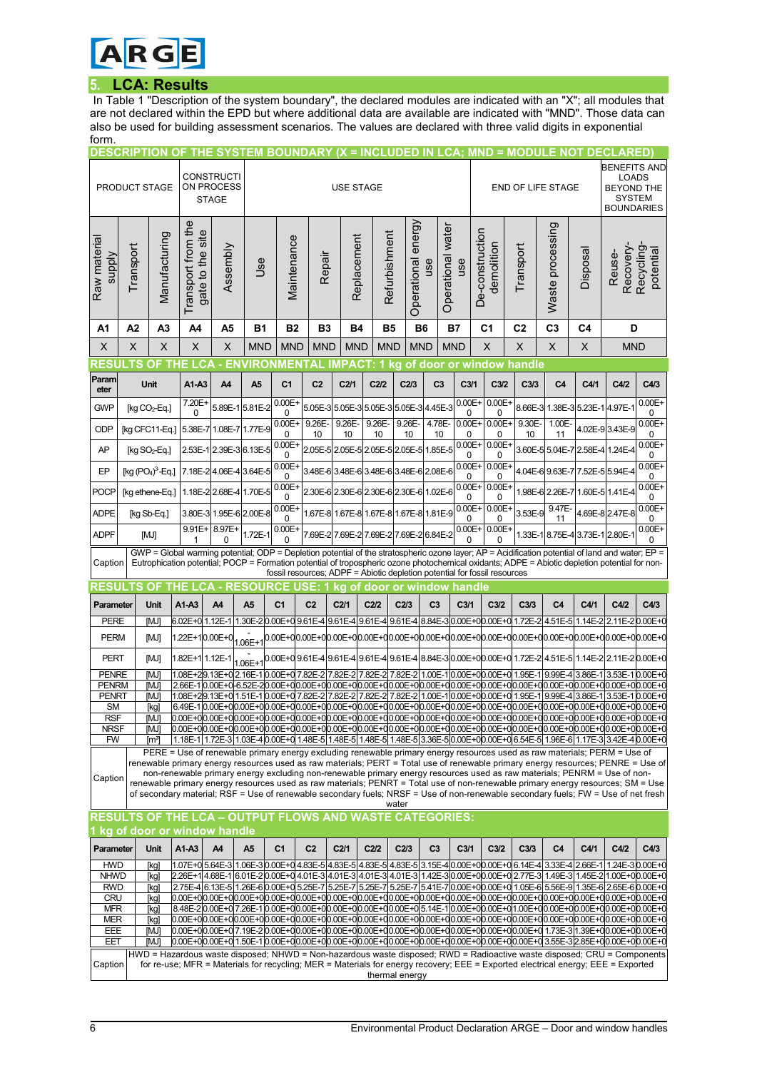![](_page_5_Picture_0.jpeg)

#### **5. LCA: Results**

In Table 1 "Description of the system boundary", the declared modules are indicated with an "X"; all modules that are not declared within the EPD but where additional data are available are indicated with "MND". Those data can also be used for building assessment scenarios. The values are declared with three valid digits in exponential form.

|                                                                                                                                                                                                                                                                                                               | <b>DESCRIPTION OF</b>                                   |                           |                                           | THE SYSTEM BOUNDARY (X = INCLUDED IN LCA; MND = MODULE NOT DECLARED                                                                                                                                                                                                                                                                                                                                                                                              |                                                       |                       |                                                                           |                  |                  |                    |                |                                                 |                                     |                                                                                     |                  |                                 |                                                                                                                 |                        |
|---------------------------------------------------------------------------------------------------------------------------------------------------------------------------------------------------------------------------------------------------------------------------------------------------------------|---------------------------------------------------------|---------------------------|-------------------------------------------|------------------------------------------------------------------------------------------------------------------------------------------------------------------------------------------------------------------------------------------------------------------------------------------------------------------------------------------------------------------------------------------------------------------------------------------------------------------|-------------------------------------------------------|-----------------------|---------------------------------------------------------------------------|------------------|------------------|--------------------|----------------|-------------------------------------------------|-------------------------------------|-------------------------------------------------------------------------------------|------------------|---------------------------------|-----------------------------------------------------------------------------------------------------------------|------------------------|
|                                                                                                                                                                                                                                                                                                               | <b>CONSTRUCTI</b><br>ON PROCESS<br><b>PRODUCT STAGE</b> |                           |                                           |                                                                                                                                                                                                                                                                                                                                                                                                                                                                  |                                                       | <b>USE STAGE</b>      |                                                                           |                  |                  |                    |                |                                                 | <b>BENEFITS AND</b><br><b>LOADS</b> |                                                                                     |                  |                                 |                                                                                                                 |                        |
|                                                                                                                                                                                                                                                                                                               |                                                         |                           |                                           | <b>STAGE</b>                                                                                                                                                                                                                                                                                                                                                                                                                                                     |                                                       |                       |                                                                           |                  |                  |                    |                |                                                 |                                     | <b>BEYOND THE</b><br><b>END OF LIFE STAGE</b><br><b>SYSTEM</b><br><b>BOUNDARIES</b> |                  |                                 |                                                                                                                 |                        |
| Raw material<br><b>Alddns</b>                                                                                                                                                                                                                                                                                 | Transport                                               | Manufacturing             | Transport from the<br>site<br>gate to the | Assembly                                                                                                                                                                                                                                                                                                                                                                                                                                                         | Jse                                                   | Maintenance           | Repair                                                                    | Replacement      | Refurbishment    | Operational energy | use            | Operational water<br>use                        | De-construction<br>demolition       | Transport                                                                           | Waste processing | Disposal                        | Recovery<br>Reuse-                                                                                              | Recycling<br>potential |
|                                                                                                                                                                                                                                                                                                               |                                                         |                           |                                           |                                                                                                                                                                                                                                                                                                                                                                                                                                                                  |                                                       |                       |                                                                           |                  |                  |                    |                |                                                 |                                     |                                                                                     |                  |                                 |                                                                                                                 |                        |
| A1                                                                                                                                                                                                                                                                                                            | A2                                                      | A3                        | A4                                        | A5                                                                                                                                                                                                                                                                                                                                                                                                                                                               | <b>B1</b>                                             | Β2                    | B <sub>3</sub>                                                            | Β4               | <b>B5</b>        |                    | <b>B6</b>      | <b>B7</b>                                       | C <sub>1</sub>                      | C <sub>2</sub>                                                                      | C <sub>3</sub>   | C4                              | D                                                                                                               |                        |
| X                                                                                                                                                                                                                                                                                                             | X                                                       | X                         | X                                         | X                                                                                                                                                                                                                                                                                                                                                                                                                                                                | <b>MND</b>                                            | <b>MND</b>            | <b>MND</b>                                                                | <b>MND</b>       | <b>MND</b>       |                    | <b>MND</b>     | <b>MND</b>                                      | $\times$                            | $\boldsymbol{\mathsf{X}}$                                                           | X                | X                               | <b>MND</b>                                                                                                      |                        |
| RESU<br>Param                                                                                                                                                                                                                                                                                                 | .TS                                                     | <b>OF</b>                 | <b>THE LCA</b>                            |                                                                                                                                                                                                                                                                                                                                                                                                                                                                  | - ENVIRONMENTAL IMPACT: 1 kg of door or window handle |                       |                                                                           |                  |                  |                    |                |                                                 |                                     |                                                                                     |                  |                                 |                                                                                                                 |                        |
| eter                                                                                                                                                                                                                                                                                                          |                                                         | Unit                      | A1-A3                                     | A <sub>4</sub>                                                                                                                                                                                                                                                                                                                                                                                                                                                   | A <sub>5</sub>                                        | C <sub>1</sub>        | C <sub>2</sub>                                                            | C2/1             | C2/2             | C2/3               | C <sub>3</sub> | C <sub>3/1</sub>                                | C <sub>3/2</sub>                    | C <sub>3/3</sub>                                                                    | C <sub>4</sub>   | C4/1                            | C4/2                                                                                                            | C4/3                   |
| <b>GWP</b>                                                                                                                                                                                                                                                                                                    |                                                         | [kg $CO2$ -Eq.]           | 7.20E+<br>$\Omega$                        | 5.89E-1 5.81E-2                                                                                                                                                                                                                                                                                                                                                                                                                                                  |                                                       | $0.00E +$<br>$\Omega$ | 5.05E-3 5.05E-3 5.05E-3 5.05E-3 4.45E-3                                   |                  |                  |                    |                | $0.00E +$<br>0                                  | $0.00E +$<br>0                      |                                                                                     |                  | 8.66E-3l1.38E-3l5.23E-1l4.97E-1 |                                                                                                                 | $0.00E +$<br>0         |
| ODP                                                                                                                                                                                                                                                                                                           |                                                         | [kg CFC11-Eq.]            |                                           | 5.38E-7 1.08E-7 1.77E-9                                                                                                                                                                                                                                                                                                                                                                                                                                          |                                                       | $0.00E +$<br>0        | 9.26E-<br>10                                                              | 9.26E-<br>10     | 9.26E-<br>10     | 9.26E-<br>10       | 4.78E-<br>10   | $0.00E +$<br>0                                  | $0.00E +$<br>0                      | 9.30E-<br>10                                                                        | 1.00E-<br>11     |                                 | 4.02E-9 3.43E-9                                                                                                 | $0.00E +$<br>0         |
| AP                                                                                                                                                                                                                                                                                                            |                                                         | [kg SO <sub>2</sub> -Eq.] |                                           | 2.53E-1 2.39E-3 6.13E-5                                                                                                                                                                                                                                                                                                                                                                                                                                          |                                                       | $0.00E +$<br>0        | 2.05E-5 2.05E-5 2.05E-5 2.05E-5 1.85E-5                                   |                  |                  |                    |                | $0.00E +$<br>0                                  | $0.00E +$<br>0                      |                                                                                     |                  | 3.60E-5 5.04E-7 2.58E-4 1.24E-4 |                                                                                                                 | $0.00E +$<br>0         |
| EP                                                                                                                                                                                                                                                                                                            |                                                         | [kg $(PO4)3$ -Eq.]        |                                           | 7.18E-2 4.06E-4 3.64E-5                                                                                                                                                                                                                                                                                                                                                                                                                                          |                                                       | $0.00E +$<br>0        | 3.48E-6 3.48E-6 3.48E-6 3.48E-6 2.08E-6                                   |                  |                  |                    |                | $0.00E +$<br>0                                  | $0.00E +$<br>0                      |                                                                                     |                  | 4.04E-6 9.63E-7 7.52E-5 5.94E-4 |                                                                                                                 | $0.00E +$<br>0         |
| <b>POCP</b>                                                                                                                                                                                                                                                                                                   |                                                         | [kg ethene-Eq.]           |                                           | 1.18E-2 2.68E-4 1.70E-5                                                                                                                                                                                                                                                                                                                                                                                                                                          |                                                       | $0.00E +$<br>0        | 2.30E-6 2.30E-6 2.30E-6 2.30E-6 1.02E-6                                   |                  |                  |                    |                | $0.00E +$<br>0                                  | $0.00E +$<br>0                      |                                                                                     |                  |                                 | 1.98E-6 2.26E-7 1.60E-5 1.41E-4                                                                                 | $0.00E +$<br>0         |
| <b>ADPE</b>                                                                                                                                                                                                                                                                                                   |                                                         | [kg Sb-Eq.]               |                                           | 3.80E-3 1.95E-6 2.00E-8                                                                                                                                                                                                                                                                                                                                                                                                                                          |                                                       | $0.00E +$<br>0        | 1.67E-8 1.67E-8 1.67E-8 1.67E-8 1.81E-9                                   |                  |                  |                    |                | $0.00E +$<br>0                                  | $0.00E +$<br>0                      | 3.53E-9                                                                             | 9.47E-<br>11     |                                 | 4.69E-8 2.47E-8                                                                                                 | $0.00E +$<br>0         |
| ADPF                                                                                                                                                                                                                                                                                                          |                                                         | [MJ]                      |                                           | 9.91E+ 8.97E+<br>O                                                                                                                                                                                                                                                                                                                                                                                                                                               | 1.72E-1                                               | $0.00E +$<br>U        | 7.69E-2 7.69E-2 7.69E-2 7.69E-2 6.84E-2                                   |                  |                  |                    |                | $0.00E +$<br>0                                  | $0.00E +$<br>N                      |                                                                                     |                  | 1.33E-1 8.75E-4 3.73E-1 2.80E-1 |                                                                                                                 | $0.00E +$<br>0         |
| GWP = Global warming potential; ODP = Depletion potential of the stratospheric ozone layer; AP = Acidification potential of land and water; EP =<br>Eutrophication potential; POCP = Formation potential of tropospheric ozone photochemical oxidants; ADPE = Abiotic depletion potential for non-<br>Caption |                                                         |                           |                                           |                                                                                                                                                                                                                                                                                                                                                                                                                                                                  |                                                       |                       |                                                                           |                  |                  |                    |                |                                                 |                                     |                                                                                     |                  |                                 |                                                                                                                 |                        |
|                                                                                                                                                                                                                                                                                                               |                                                         |                           |                                           |                                                                                                                                                                                                                                                                                                                                                                                                                                                                  |                                                       |                       |                                                                           |                  |                  |                    |                |                                                 |                                     |                                                                                     |                  |                                 |                                                                                                                 |                        |
|                                                                                                                                                                                                                                                                                                               |                                                         | ΟF                        |                                           |                                                                                                                                                                                                                                                                                                                                                                                                                                                                  |                                                       |                       | fossil resources; ADPF = Abiotic depletion potential for fossil resources |                  |                  |                    |                |                                                 |                                     |                                                                                     |                  |                                 |                                                                                                                 |                        |
| RESUI<br>Parameter                                                                                                                                                                                                                                                                                            | ΤS                                                      | <b>Unit</b>               | A1-A3                                     | A4                                                                                                                                                                                                                                                                                                                                                                                                                                                               | <b>RESO</b><br>A <sub>5</sub>                         | C <sub>1</sub>        | C <sub>2</sub>                                                            | C <sub>2/1</sub> | C2/2             | C2/3               | C <sub>3</sub> | kg of door or window handle<br>C <sub>3/1</sub> | C3/2                                | C3/3                                                                                | C <sub>4</sub>   | C4/1                            | C4/2                                                                                                            | C4/3                   |
| PERE                                                                                                                                                                                                                                                                                                          |                                                         | [MJ]                      | 6.02E+0 1.12E-1                           |                                                                                                                                                                                                                                                                                                                                                                                                                                                                  | 1.30E-2 0.00E+0 9.61E-4                               |                       |                                                                           | 9.61E-4          | 9.61E-4          |                    |                |                                                 | 9.61E-4 8.84E-3 0.00E+00.00E+0      | 1.72E-2                                                                             | 4.51E-5          | $1.14E-2$                       | 2.11E-20.00E+0                                                                                                  |                        |
| <b>PERM</b>                                                                                                                                                                                                                                                                                                   |                                                         | [MJ]                      | 1.22E+10.00E+0                            |                                                                                                                                                                                                                                                                                                                                                                                                                                                                  | $.06E + 1$                                            |                       |                                                                           |                  |                  |                    |                |                                                 |                                     |                                                                                     |                  |                                 | 0.00E+00.00E+00.00E+00.00E+00.00E+00.00E+00.00E+00.00E+00.00E+00.00E+00.00E+00.00E+00.00E+00.00E+00             |                        |
| <b>PERT</b>                                                                                                                                                                                                                                                                                                   |                                                         | [MJ]                      | 1.82E+11.12E-1                            |                                                                                                                                                                                                                                                                                                                                                                                                                                                                  | 1.06E+1                                               |                       |                                                                           |                  |                  |                    |                |                                                 |                                     |                                                                                     |                  |                                 | 0.00E+0 9.61E-4 9.61E-4 9.61E-4 9.61E-4 8.84E-3 0.00E+0 0.00E+0 1.72E-2   4.51E-5   1.14E-2   2.11E-2   0.00E+0 |                        |
| <b>PENRE</b>                                                                                                                                                                                                                                                                                                  |                                                         | [MJ]                      |                                           | 1.08E+29.13E+02.16E-1                                                                                                                                                                                                                                                                                                                                                                                                                                            |                                                       | 0.00E+07.82E-2        |                                                                           | 7.82E-2          | 7.82E-2          | 7.82E-2            |                |                                                 | 1.00E-1 0.00E+00.00E+0              | 1.95E-1                                                                             |                  |                                 | 9.99E-4 3.86E-1 3.53E-1 0.00E+0                                                                                 |                        |
| <b>PENRM</b><br><b>PENRT</b>                                                                                                                                                                                                                                                                                  |                                                         | [MJ]<br>[MJ]              |                                           | 2.66E-1 0.00E+0 -6.52E-2 0.00E+0 0.00E+0 0.00E+0 0.00E+0 0.00E+0 0.00E+0 0.00E+0 0.00E+0 0.00E+0 0.00E+0 0.00E+0 0.00E+0 0.00E+0 0.00E+0<br>1.08E+29.13E+01.51E-10.00E+07.82E-2                                                                                                                                                                                                                                                                                  |                                                       |                       |                                                                           | 7.82E-2          | 7.82E-2          | 7.82E-2            |                |                                                 |                                     |                                                                                     |                  |                                 | 1.00E-10.00E+00.00E+01.95E-19.99E-43.86E-13.53E-10.00E+0                                                        |                        |
| <b>SM</b><br><b>RSF</b>                                                                                                                                                                                                                                                                                       |                                                         | [kg]<br>[MJ]              |                                           | 6.49E-100.00E+000.00E+000.00E+000.00E+0000E+0000E+0000E+00000E+0000E+0000E+0000E+0000E+0000E+0000E+0000E+0000E+0000E+0000E+0000E+0000E+0000E+0000E+0000E+0000E+0000E+0000E+0000E+0000E+0000E+0000E+0000E+0000E+0000E+0000E+000<br>0.00E+00.00E+00.00E+00.00E+00.00E+00.00E+00.00E+00.00E+00.00E+00.00E+00.00E+00.00E+00.00E+00.00E+00.00E+00.00E+00.00E+00.00E+00.00E+00.00E+00.00E+00.00E+00.00E+00.00E+00.00E+00.00E+00.00E+00.00E+00.00E+00.00E+00.00E+00.00E |                                                       |                       |                                                                           |                  |                  |                    |                |                                                 |                                     |                                                                                     |                  |                                 |                                                                                                                 |                        |
| <b>NRSF</b>                                                                                                                                                                                                                                                                                                   |                                                         | <b>MJI</b>                |                                           | $[0.00E+0]0.00E+0]0.00E+0]0.00E+0]0.00E+0]0.00E+0]0.00E+0]0.00E+0]0.00E+0]0.00E+0]0.00E+0]0.00E+0]0.00E+0]0.00E+0]0.00E+0]0.00E+0]0.00E+0]0.00E+0]0.00E+0]0.00E+0]0.00E+0]0.00E+0]0.00E+0]0.00E+0]0.00E+0]0.00E+0]0.00E+0]0.0$                                                                                                                                                                                                                                   |                                                       |                       |                                                                           |                  |                  |                    |                |                                                 |                                     |                                                                                     |                  |                                 |                                                                                                                 |                        |
| <b>FW</b>                                                                                                                                                                                                                                                                                                     |                                                         | [mª]                      |                                           | 1.18E-1 1.72E-3 1.03E-4 0.00E+0 1.48E-5 1.48E-5 1.48E-5 1.48E-5 3.36E-5 0.00E+0 0.00E+0 6.54E-5 1.96E-6 1.17E-3 3.42E-4 0.00E+0<br>PERE = Use of renewable primary energy excluding renewable primary energy resources used as raw materials; PERM = Use of                                                                                                                                                                                                      |                                                       |                       |                                                                           |                  |                  |                    |                |                                                 |                                     |                                                                                     |                  |                                 |                                                                                                                 |                        |
|                                                                                                                                                                                                                                                                                                               |                                                         |                           |                                           | renewable primary energy resources used as raw materials; PERT = Total use of renewable primary energy resources; PENRE = Use of<br>non-renewable primary energy excluding non-renewable primary energy resources used as raw materials; PENRM = Use of non-                                                                                                                                                                                                     |                                                       |                       |                                                                           |                  |                  |                    |                |                                                 |                                     |                                                                                     |                  |                                 |                                                                                                                 |                        |
| Caption                                                                                                                                                                                                                                                                                                       |                                                         |                           |                                           | renewable primary energy resources used as raw materials; PENRT = Total use of non-renewable primary energy resources; SM = Use<br>of secondary material; RSF = Use of renewable secondary fuels; NRSF = Use of non-renewable secondary fuels; FW = Use of net fresh                                                                                                                                                                                             |                                                       |                       |                                                                           |                  |                  |                    |                |                                                 |                                     |                                                                                     |                  |                                 |                                                                                                                 |                        |
|                                                                                                                                                                                                                                                                                                               |                                                         |                           |                                           | <b>RESULTS OF THE LCA - OUTPUT FLOWS AND WASTE CATEGORIES:</b>                                                                                                                                                                                                                                                                                                                                                                                                   |                                                       |                       |                                                                           |                  |                  | water              |                |                                                 |                                     |                                                                                     |                  |                                 |                                                                                                                 |                        |
|                                                                                                                                                                                                                                                                                                               |                                                         |                           |                                           | 1 kg of door or window handle                                                                                                                                                                                                                                                                                                                                                                                                                                    |                                                       |                       |                                                                           |                  |                  |                    |                |                                                 |                                     |                                                                                     |                  |                                 |                                                                                                                 |                        |
| Parameter<br><b>HWD</b>                                                                                                                                                                                                                                                                                       |                                                         | Unit                      | A1-A3                                     | A4<br>1.07E+0 5.64E-3 1.06E-3 0.00E+0 4.83E-5 4.83E-5 4.83E-5 4.83E-5 3.15E-4 0.00E+0 6.04E-4 3.33E-4 2.66E-1 1.24E-3 0.00E+0                                                                                                                                                                                                                                                                                                                                    | A5                                                    | C <sub>1</sub>        | C <sub>2</sub>                                                            | C <sub>2/1</sub> | C <sub>2/2</sub> | C <sub>2/3</sub>   | C <sub>3</sub> | C <sub>3/1</sub>                                | C <sub>3/2</sub>                    | C3/3                                                                                | C4               | C4/1                            | C4/2                                                                                                            | C4/3                   |
| <b>NHWD</b>                                                                                                                                                                                                                                                                                                   |                                                         | [kg]<br>[kg]              |                                           | 2.26E+1 4.68E-1 6.01E-2 0.00E+0 4.01E-3 4.01E-3 4.01E-3 4.01E-3 1.42E-3 0.00E+0 0.00E+0 2.77E-3 1.49E-3 1.45E-2 1.00E+0 0.00E+0                                                                                                                                                                                                                                                                                                                                  |                                                       |                       |                                                                           |                  |                  |                    |                |                                                 |                                     |                                                                                     |                  |                                 |                                                                                                                 |                        |
| <b>RWD</b><br><b>CRU</b>                                                                                                                                                                                                                                                                                      |                                                         | [kg]<br>[kg]              |                                           | 2.75E-4 6.13E-5 1.26E-6 0.00E+0 5.25E-7 5.25E-7 5.25E-7 5.25E-7 5.41E-7 0.00E+0 0.00E+0 1.05E-6 5.56E-9 1.35E-6 2.65E-6 0.00E+0<br>$0.00E + 0[0.00E + 0[0.00E + 0[0.00E + 0[0.00E + 0[0.00E + 0[0.00E + 0[0.00E + 0[0.00E + 0[0.00E + 0[0.00E + 0[0.00E + 0[0.00E + 0[0.00E + 0[0.00E + 0[0.00E + 0[0.00E + 0[0.00E + 0[0.00E + 0[0.00E + 0[0.00E + 0[0.00E + 0[0.00E + 0[0.00E + 0[0.00$                                                                        |                                                       |                       |                                                                           |                  |                  |                    |                |                                                 |                                     |                                                                                     |                  |                                 |                                                                                                                 |                        |
| <b>MFR</b>                                                                                                                                                                                                                                                                                                    |                                                         | [kg]                      |                                           | 8.48E-2 0.00E+0 7.26E-1 0.00E+0 0.00E+0 0.00E+0 0.00E+0 0.00E+0 5.14E-1 0.00E+0 0.00E+0 1.00E+0 0.00E+0 0.00E+0 0.00E+0 0.00E+0 0.00E+0                                                                                                                                                                                                                                                                                                                          |                                                       |                       |                                                                           |                  |                  |                    |                |                                                 |                                     |                                                                                     |                  |                                 |                                                                                                                 |                        |
| <b>MER</b><br>EEE                                                                                                                                                                                                                                                                                             |                                                         | [kg]<br>imji              |                                           | 0.00E+00.00E+00.00E+00.00E+00.00E+00.00E+00.00E+00.00E+00.00E+00.00E+00.00E+00.00E+00.00E+00.00E+00.00E+00.00E+00.00E+00.00E+00.00E+00.00E+00.00E+00.00E+00.00E+00.00E+00.00E+00.00E+00.00E+00.00E+00.00E+00.00E+00.00E+00.00E<br>0.00E+00.00E+00.00E+00.00E+00.00E+00.00E+00.00E+00.00E+00.00E+00.00E+00.00E+00.00E+00.00E+01.73E-3 1.39E+00.00E+00.00E+0                                                                                                       |                                                       |                       |                                                                           |                  |                  |                    |                |                                                 |                                     |                                                                                     |                  |                                 |                                                                                                                 |                        |
| EET                                                                                                                                                                                                                                                                                                           |                                                         | [MJ]                      |                                           | $[0.00E+0]0.00E+0]$ 1.50E-1 $[0.00E+0]0.00E+0]0.00E+0]0.00E+0]0.00E+0]0.00E+0]0.00E+0]0.00E+0]0.00E+0]3.55E-3[2.85E+0]0.00E+0]0.00E+0]0.00E+0]0.00E+0]0.00E+0]0.00E+0]0.00E+0]0.00E+0]0.00E+0]0.00E+0]0.00E+0]0.00E+0]0.00E+0]0$<br>HWD = Hazardous waste disposed; NHWD = Non-hazardous waste disposed; RWD = Radioactive waste disposed; CRU = Components                                                                                                      |                                                       |                       |                                                                           |                  |                  |                    |                |                                                 |                                     |                                                                                     |                  |                                 |                                                                                                                 |                        |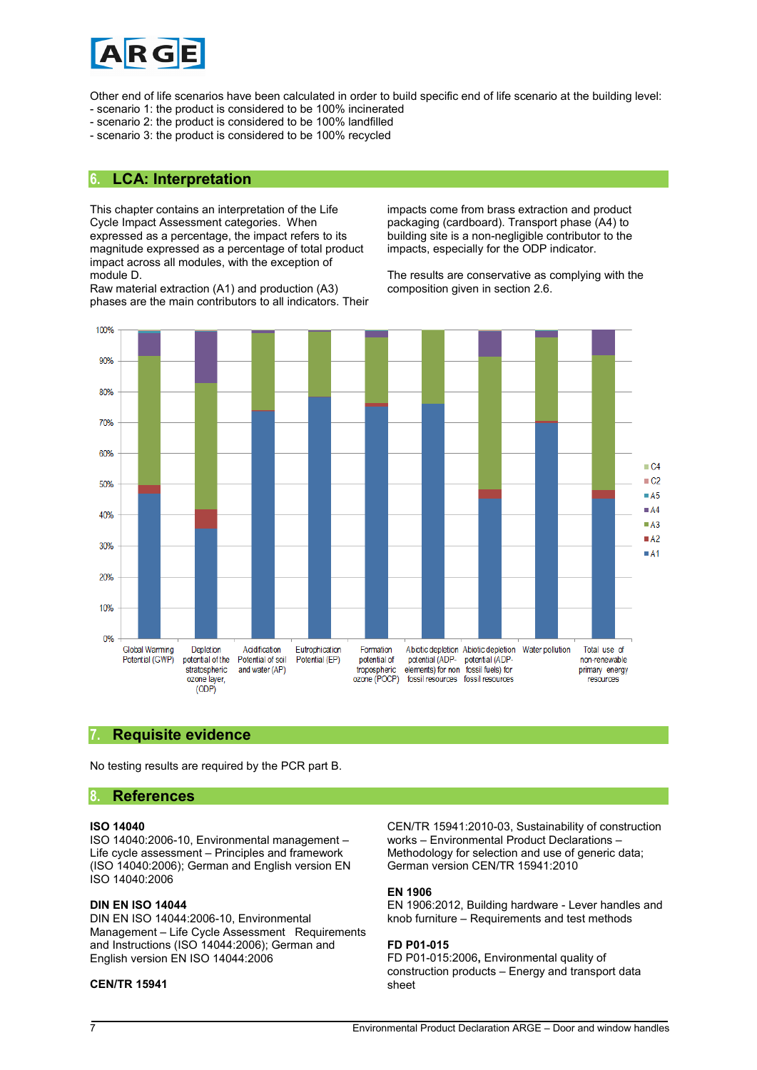![](_page_6_Picture_0.jpeg)

Other end of life scenarios have been calculated in order to build specific end of life scenario at the building level:

- scenario 1: the product is considered to be 100% incinerated
- scenario 2: the product is considered to be 100% landfilled
- scenario 3: the product is considered to be 100% recycled

#### **6. LCA: Interpretation**

This chapter contains an interpretation of the Life Cycle Impact Assessment categories. When expressed as a percentage, the impact refers to its magnitude expressed as a percentage of total product impact across all modules, with the exception of module D.

Raw material extraction (A1) and production (A3) phases are the main contributors to all indicators. Their

impacts come from brass extraction and product packaging (cardboard). Transport phase (A4) to building site is a non-negligible contributor to the impacts, especially for the ODP indicator.

The results are conservative as complying with the composition given in section 2.6.

![](_page_6_Figure_10.jpeg)

#### **7. Requisite evidence**

No testing results are required by the PCR part B.

#### **8. References**

#### **ISO 14040**

ISO 14040:2006-10, Environmental management – Life cycle assessment – Principles and framework (ISO 14040:2006); German and English version EN ISO 14040:2006

#### **DIN EN ISO 14044**

DIN EN ISO 14044:2006-10, Environmental Management – Life Cycle Assessment Requirements and Instructions (ISO 14044:2006); German and English version EN ISO 14044:2006

#### **CEN/TR 15941**

CEN/TR 15941:2010-03, Sustainability of construction works – Environmental Product Declarations – Methodology for selection and use of generic data; German version CEN/TR 15941:2010

#### **EN 1906**

EN 1906:2012, Building hardware - Lever handles and knob furniture – Requirements and test methods

#### **FD P01-015**

FD P01-015:2006**,** Environmental quality of construction products – Energy and transport data sheet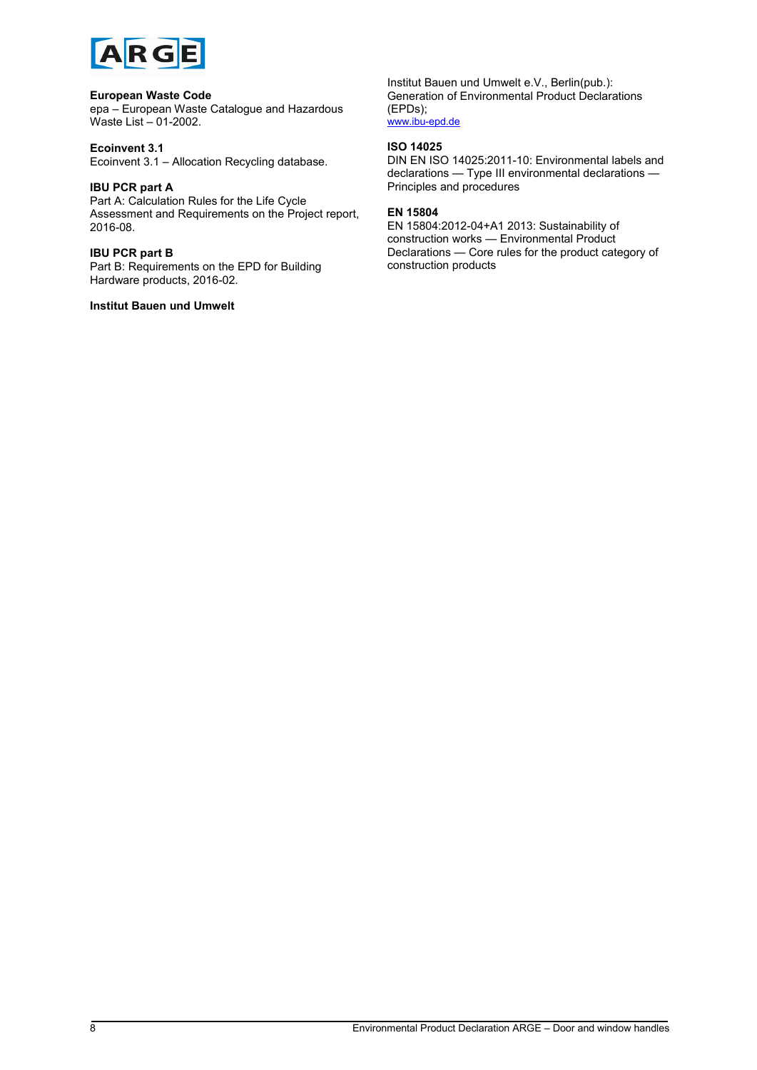![](_page_7_Picture_0.jpeg)

#### **European Waste Code**

epa – European Waste Catalogue and Hazardous Waste List – 01-2002.

#### **Ecoinvent 3.1**

Ecoinvent 3.1 – Allocation Recycling database.

#### **IBU PCR part A**

Part A: Calculation Rules for the Life Cycle Assessment and Requirements on the Project report, 2016-08.

#### **IBU PCR part B**

Part B: Requirements on the EPD for Building Hardware products, 2016-02.

#### **Institut Bauen und Umwelt**

Institut Bauen und Umwelt e.V., Berlin(pub.): Generation of Environmental Product Declarations (EPDs); [www.ibu-epd.de](http://www.bau-umwelt.de/)

#### **ISO 14025**

DIN EN ISO 14025:2011-10: Environmental labels and declarations — Type III environmental declarations — Principles and procedures

#### **EN 15804**

EN 15804:2012-04+A1 2013: Sustainability of construction works — Environmental Product Declarations — Core rules for the product category of construction products